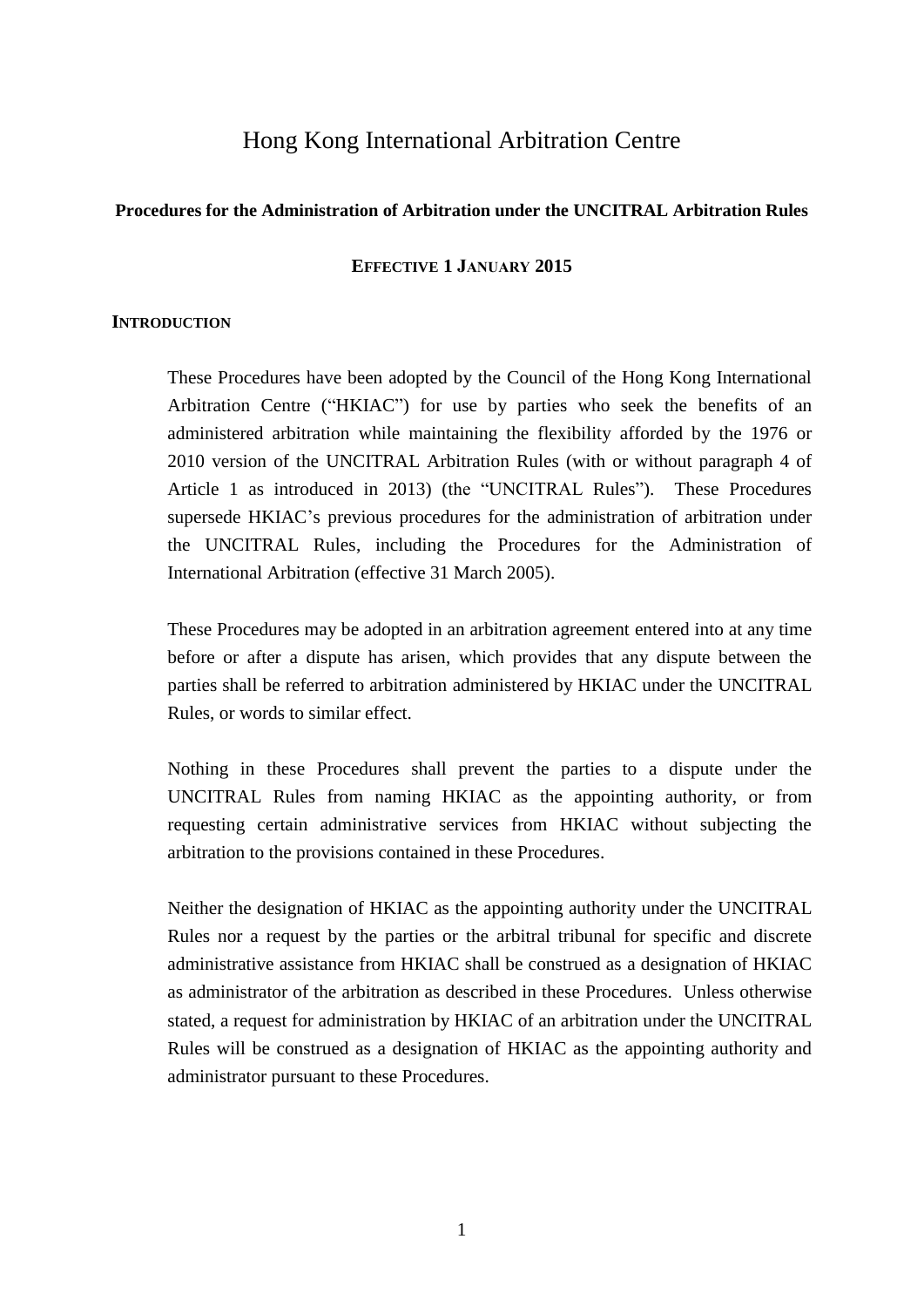# Hong Kong International Arbitration Centre

#### **Procedures for the Administration of Arbitration under the UNCITRAL Arbitration Rules**

#### **EFFECTIVE 1 JANUARY 2015**

#### **INTRODUCTION**

These Procedures have been adopted by the Council of the Hong Kong International Arbitration Centre ("HKIAC") for use by parties who seek the benefits of an administered arbitration while maintaining the flexibility afforded by the 1976 or 2010 version of the UNCITRAL Arbitration Rules (with or without paragraph 4 of Article 1 as introduced in 2013) (the "UNCITRAL Rules"). These Procedures supersede HKIAC's previous procedures for the administration of arbitration under the UNCITRAL Rules, including the Procedures for the Administration of International Arbitration (effective 31 March 2005).

These Procedures may be adopted in an arbitration agreement entered into at any time before or after a dispute has arisen, which provides that any dispute between the parties shall be referred to arbitration administered by HKIAC under the UNCITRAL Rules, or words to similar effect.

Nothing in these Procedures shall prevent the parties to a dispute under the UNCITRAL Rules from naming HKIAC as the appointing authority, or from requesting certain administrative services from HKIAC without subjecting the arbitration to the provisions contained in these Procedures.

Neither the designation of HKIAC as the appointing authority under the UNCITRAL Rules nor a request by the parties or the arbitral tribunal for specific and discrete administrative assistance from HKIAC shall be construed as a designation of HKIAC as administrator of the arbitration as described in these Procedures. Unless otherwise stated, a request for administration by HKIAC of an arbitration under the UNCITRAL Rules will be construed as a designation of HKIAC as the appointing authority and administrator pursuant to these Procedures.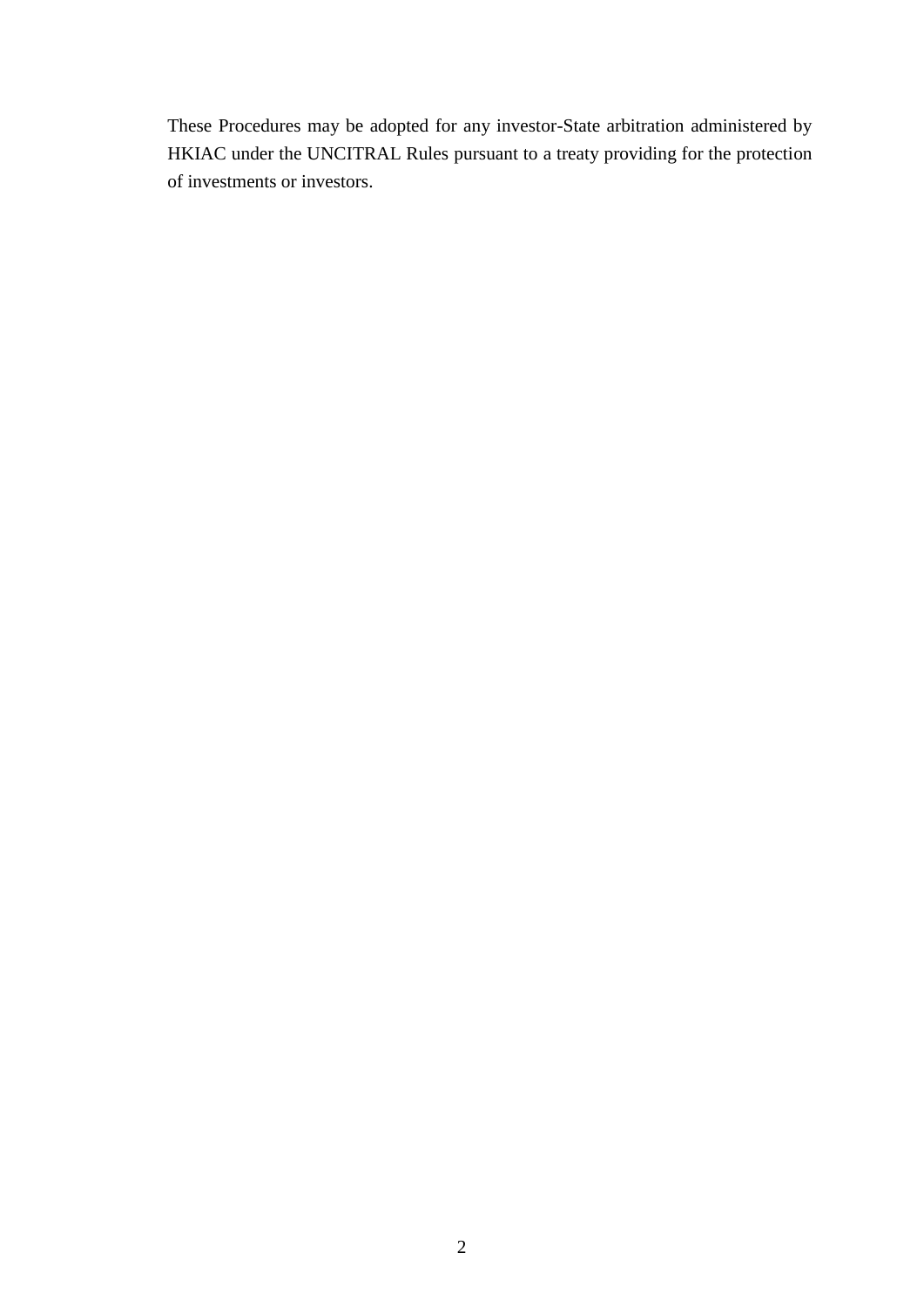These Procedures may be adopted for any investor-State arbitration administered by HKIAC under the UNCITRAL Rules pursuant to a treaty providing for the protection of investments or investors.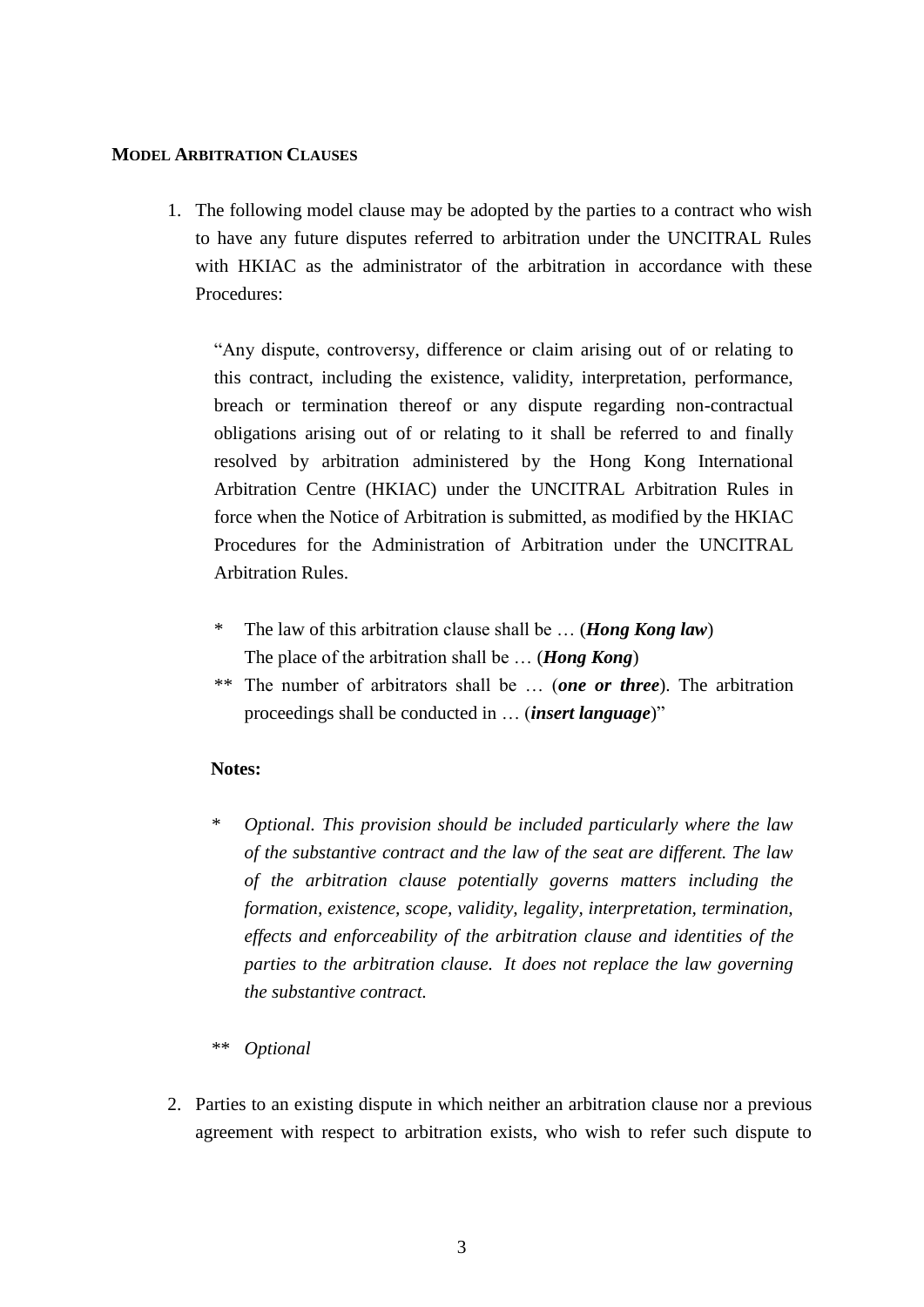#### **MODEL ARBITRATION CLAUSES**

1. The following model clause may be adopted by the parties to a contract who wish to have any future disputes referred to arbitration under the UNCITRAL Rules with HKIAC as the administrator of the arbitration in accordance with these Procedures:

"Any dispute, controversy, difference or claim arising out of or relating to this contract, including the existence, validity, interpretation, performance, breach or termination thereof or any dispute regarding non-contractual obligations arising out of or relating to it shall be referred to and finally resolved by arbitration administered by the Hong Kong International Arbitration Centre (HKIAC) under the UNCITRAL Arbitration Rules in force when the Notice of Arbitration is submitted, as modified by the HKIAC Procedures for the Administration of Arbitration under the UNCITRAL Arbitration Rules.

- The law of this arbitration clause shall be ... (*Hong Kong law*) The place of the arbitration shall be … (*Hong Kong*)
- \*\* The number of arbitrators shall be … (*one or three*). The arbitration proceedings shall be conducted in … (*insert language*)"

#### **Notes:**

- *\* Optional. This provision should be included particularly where the law of the substantive contract and the law of the seat are different. The law of the arbitration clause potentially governs matters including the formation, existence, scope, validity, legality, interpretation, termination, effects and enforceability of the arbitration clause and identities of the parties to the arbitration clause. It does not replace the law governing the substantive contract.*
- *\*\* Optional*
- 2. Parties to an existing dispute in which neither an arbitration clause nor a previous agreement with respect to arbitration exists, who wish to refer such dispute to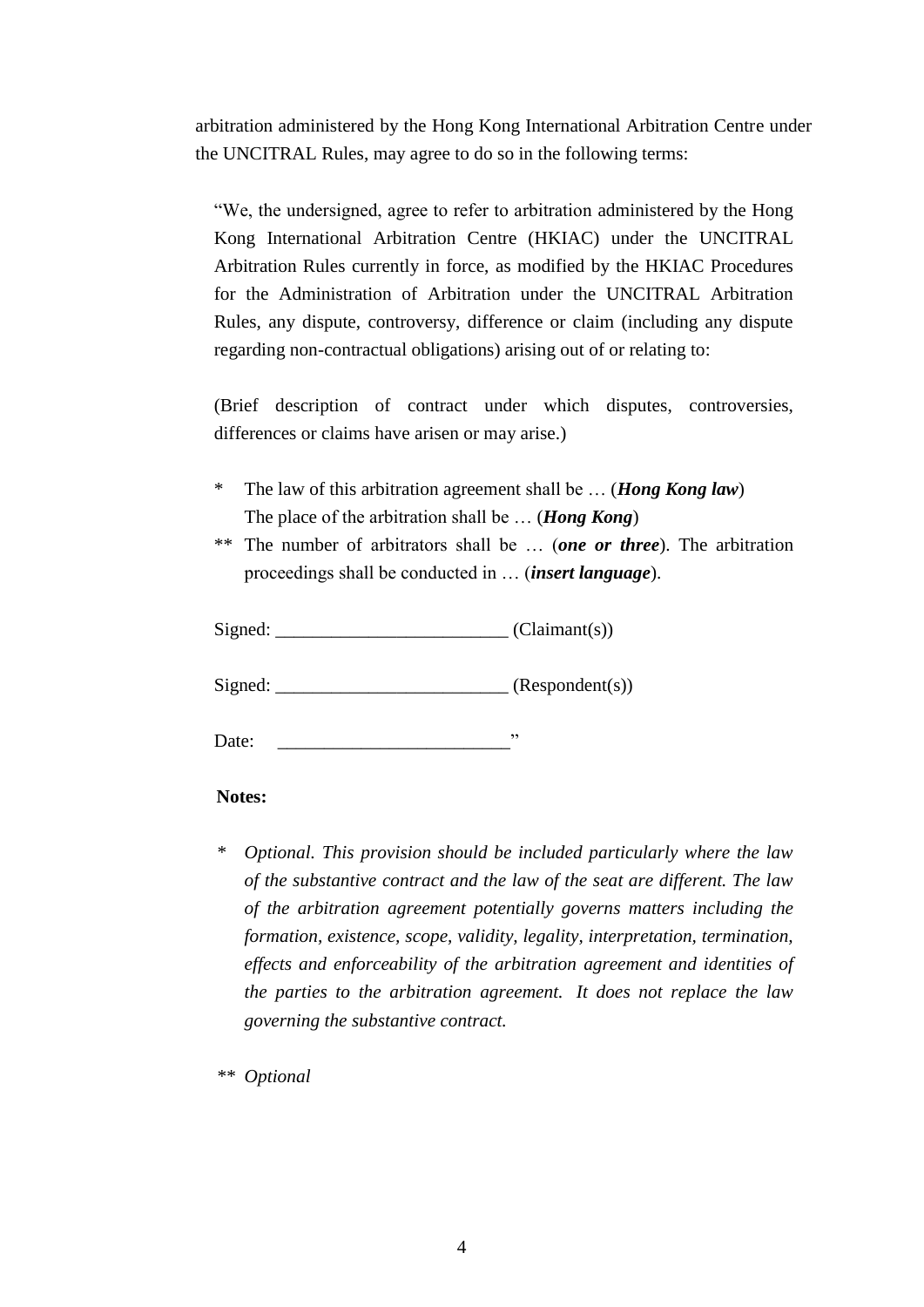arbitration administered by the Hong Kong International Arbitration Centre under the UNCITRAL Rules, may agree to do so in the following terms:

"We, the undersigned, agree to refer to arbitration administered by the Hong Kong International Arbitration Centre (HKIAC) under the UNCITRAL Arbitration Rules currently in force, as modified by the HKIAC Procedures for the Administration of Arbitration under the UNCITRAL Arbitration Rules, any dispute, controversy, difference or claim (including any dispute regarding non-contractual obligations) arising out of or relating to:

(Brief description of contract under which disputes, controversies, differences or claims have arisen or may arise.)

- The law of this arbitration agreement shall be ... (*Hong Kong law*) The place of the arbitration shall be … (*Hong Kong*)
- \*\* The number of arbitrators shall be … (*one or three*). The arbitration proceedings shall be conducted in … (*insert language*).

| Signed: | (Claimant(s)) |
|---------|---------------|
|---------|---------------|

 $Sigma$ :  $\qquad \qquad$  (Respondent(s))

Date: \_\_\_\_\_\_\_\_\_\_\_\_\_\_\_\_\_\_\_\_\_\_\_\_\_"

#### **Notes:**

*\* Optional. This provision should be included particularly where the law of the substantive contract and the law of the seat are different. The law of the arbitration agreement potentially governs matters including the formation, existence, scope, validity, legality, interpretation, termination, effects and enforceability of the arbitration agreement and identities of the parties to the arbitration agreement. It does not replace the law governing the substantive contract.*

*\*\* Optional*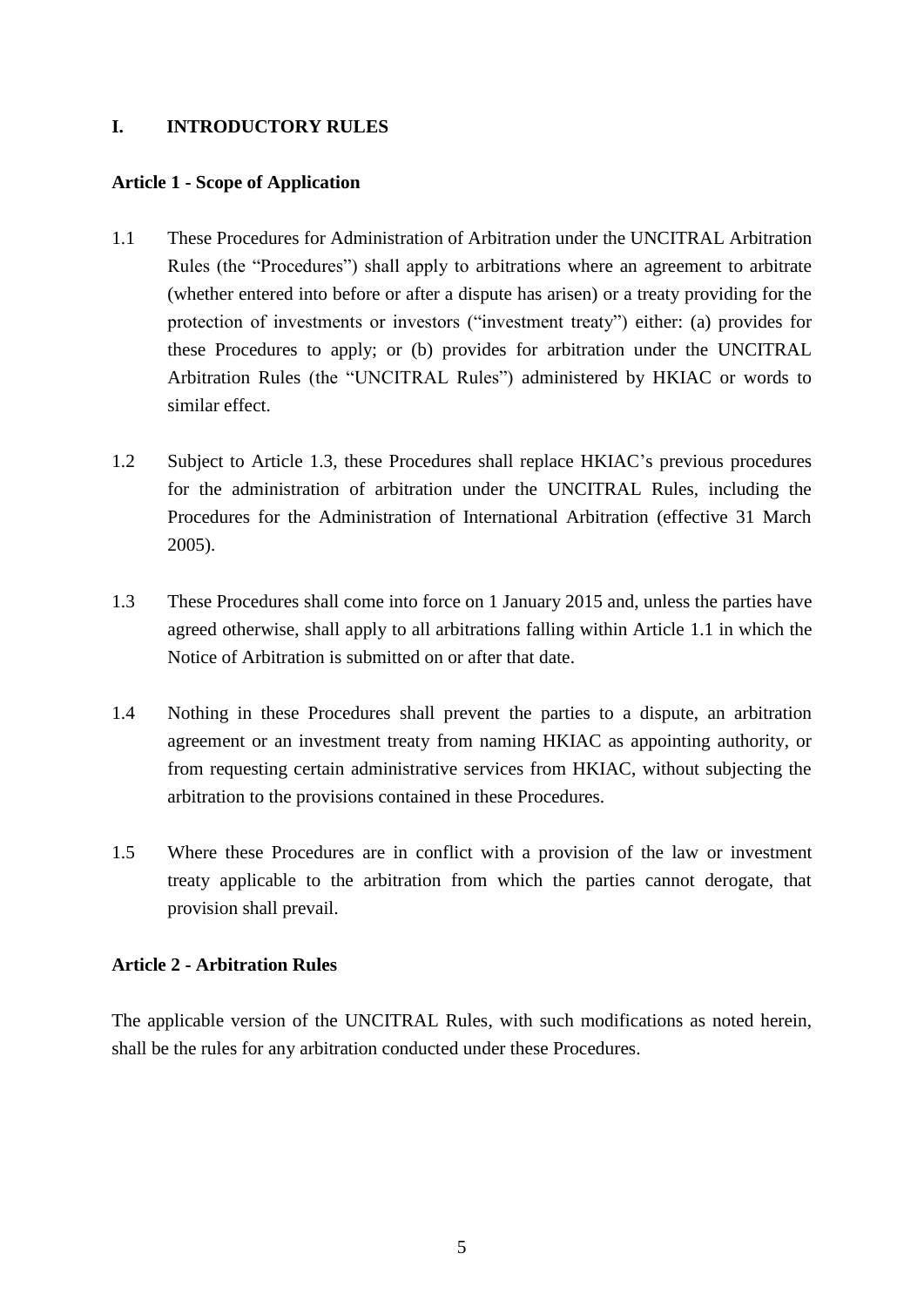## **I. INTRODUCTORY RULES**

#### **Article 1 - Scope of Application**

- 1.1 These Procedures for Administration of Arbitration under the UNCITRAL Arbitration Rules (the "Procedures") shall apply to arbitrations where an agreement to arbitrate (whether entered into before or after a dispute has arisen) or a treaty providing for the protection of investments or investors ("investment treaty") either: (a) provides for these Procedures to apply; or (b) provides for arbitration under the UNCITRAL Arbitration Rules (the "UNCITRAL Rules") administered by HKIAC or words to similar effect.
- 1.2 Subject to Article 1.3, these Procedures shall replace HKIAC's previous procedures for the administration of arbitration under the UNCITRAL Rules, including the Procedures for the Administration of International Arbitration (effective 31 March 2005).
- 1.3 These Procedures shall come into force on 1 January 2015 and, unless the parties have agreed otherwise, shall apply to all arbitrations falling within Article 1.1 in which the Notice of Arbitration is submitted on or after that date.
- 1.4 Nothing in these Procedures shall prevent the parties to a dispute, an arbitration agreement or an investment treaty from naming HKIAC as appointing authority, or from requesting certain administrative services from HKIAC, without subjecting the arbitration to the provisions contained in these Procedures.
- 1.5 Where these Procedures are in conflict with a provision of the law or investment treaty applicable to the arbitration from which the parties cannot derogate, that provision shall prevail.

# **Article 2 - Arbitration Rules**

The applicable version of the UNCITRAL Rules, with such modifications as noted herein, shall be the rules for any arbitration conducted under these Procedures.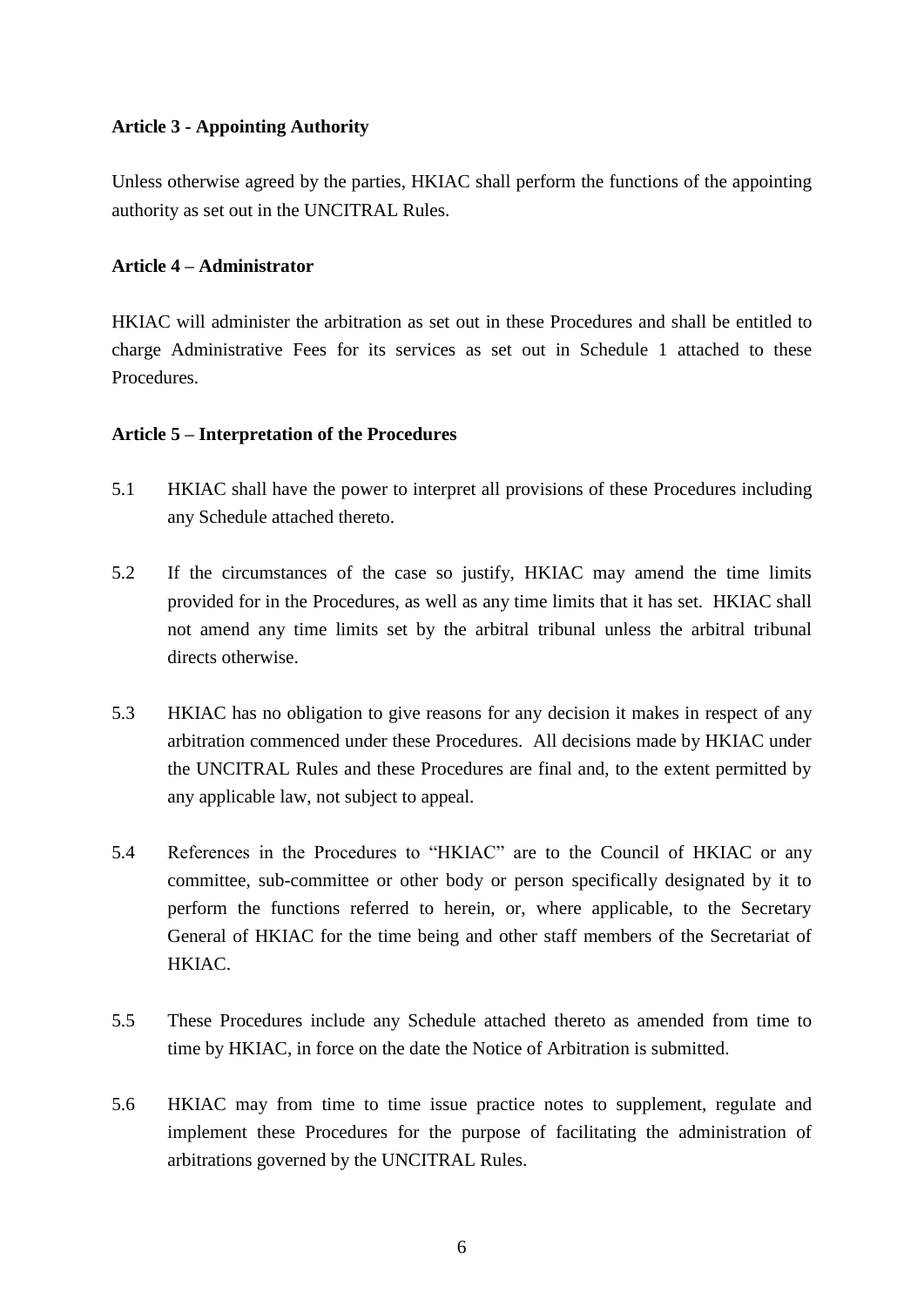## **Article 3 - Appointing Authority**

Unless otherwise agreed by the parties, HKIAC shall perform the functions of the appointing authority as set out in the UNCITRAL Rules.

#### **Article 4 – Administrator**

HKIAC will administer the arbitration as set out in these Procedures and shall be entitled to charge Administrative Fees for its services as set out in Schedule 1 attached to these Procedures.

## **Article 5 – Interpretation of the Procedures**

- 5.1 HKIAC shall have the power to interpret all provisions of these Procedures including any Schedule attached thereto.
- 5.2 If the circumstances of the case so justify, HKIAC may amend the time limits provided for in the Procedures, as well as any time limits that it has set. HKIAC shall not amend any time limits set by the arbitral tribunal unless the arbitral tribunal directs otherwise.
- 5.3 HKIAC has no obligation to give reasons for any decision it makes in respect of any arbitration commenced under these Procedures. All decisions made by HKIAC under the UNCITRAL Rules and these Procedures are final and, to the extent permitted by any applicable law, not subject to appeal.
- 5.4 References in the Procedures to "HKIAC" are to the Council of HKIAC or any committee, sub-committee or other body or person specifically designated by it to perform the functions referred to herein, or, where applicable, to the Secretary General of HKIAC for the time being and other staff members of the Secretariat of HKIAC.
- 5.5 These Procedures include any Schedule attached thereto as amended from time to time by HKIAC, in force on the date the Notice of Arbitration is submitted.
- 5.6 HKIAC may from time to time issue practice notes to supplement, regulate and implement these Procedures for the purpose of facilitating the administration of arbitrations governed by the UNCITRAL Rules.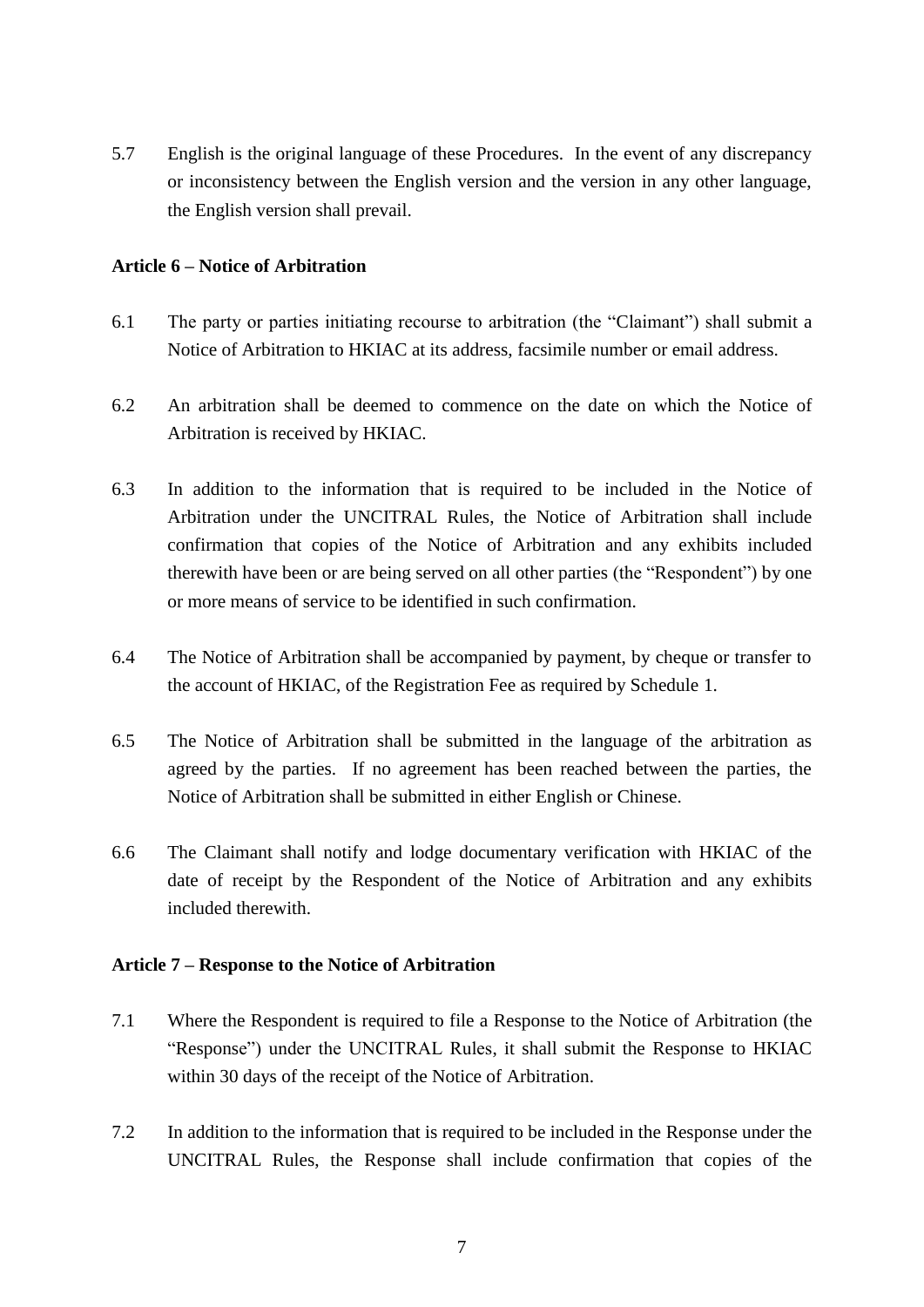5.7 English is the original language of these Procedures. In the event of any discrepancy or inconsistency between the English version and the version in any other language, the English version shall prevail.

#### **Article 6 – Notice of Arbitration**

- 6.1 The party or parties initiating recourse to arbitration (the "Claimant") shall submit a Notice of Arbitration to HKIAC at its address, facsimile number or email address.
- 6.2 An arbitration shall be deemed to commence on the date on which the Notice of Arbitration is received by HKIAC.
- 6.3 In addition to the information that is required to be included in the Notice of Arbitration under the UNCITRAL Rules, the Notice of Arbitration shall include confirmation that copies of the Notice of Arbitration and any exhibits included therewith have been or are being served on all other parties (the "Respondent") by one or more means of service to be identified in such confirmation.
- 6.4 The Notice of Arbitration shall be accompanied by payment, by cheque or transfer to the account of HKIAC, of the Registration Fee as required by Schedule 1.
- 6.5 The Notice of Arbitration shall be submitted in the language of the arbitration as agreed by the parties. If no agreement has been reached between the parties, the Notice of Arbitration shall be submitted in either English or Chinese.
- 6.6 The Claimant shall notify and lodge documentary verification with HKIAC of the date of receipt by the Respondent of the Notice of Arbitration and any exhibits included therewith.

#### **Article 7 – Response to the Notice of Arbitration**

- 7.1 Where the Respondent is required to file a Response to the Notice of Arbitration (the "Response") under the UNCITRAL Rules, it shall submit the Response to HKIAC within 30 days of the receipt of the Notice of Arbitration.
- 7.2 In addition to the information that is required to be included in the Response under the UNCITRAL Rules, the Response shall include confirmation that copies of the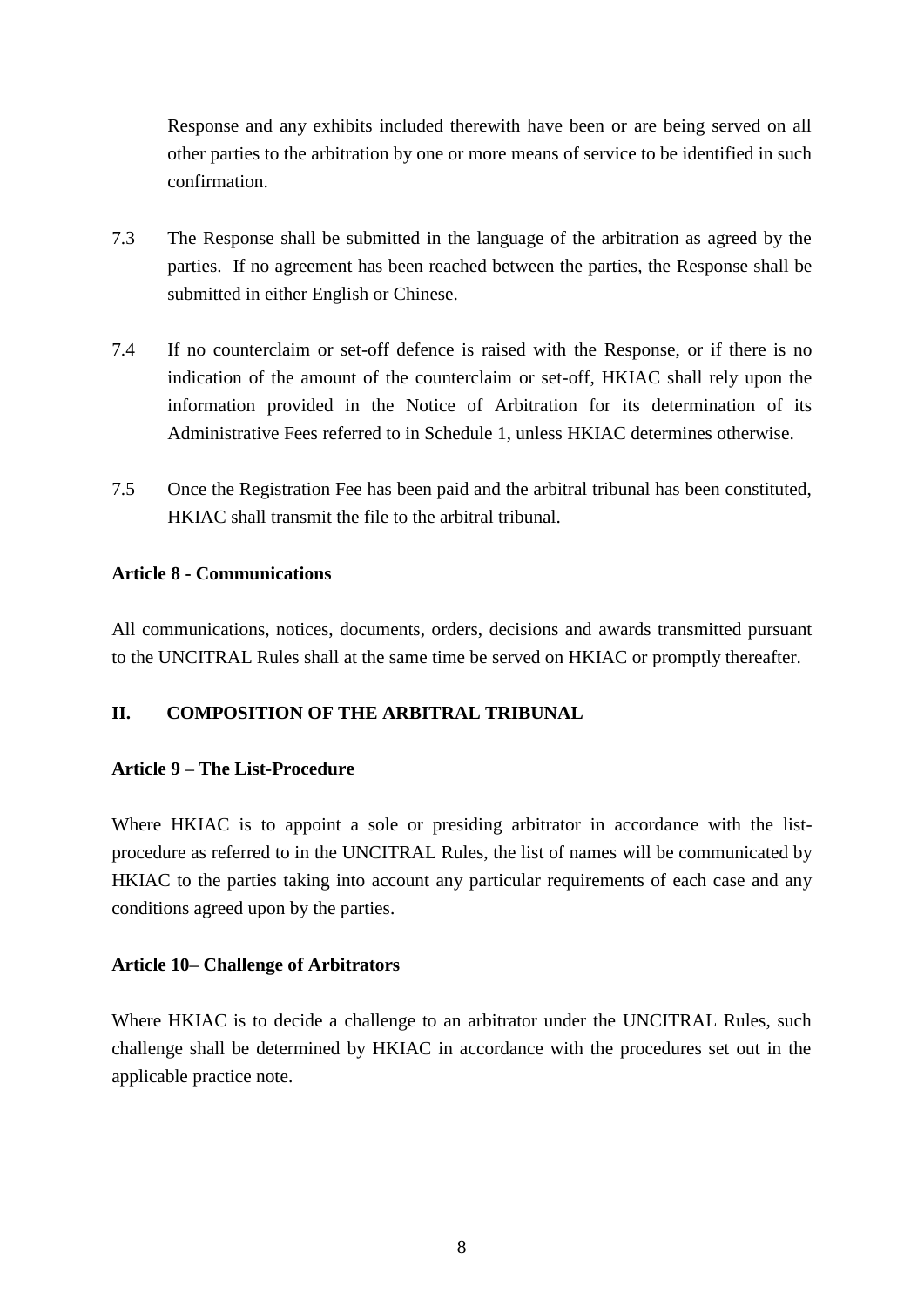Response and any exhibits included therewith have been or are being served on all other parties to the arbitration by one or more means of service to be identified in such confirmation.

- 7.3 The Response shall be submitted in the language of the arbitration as agreed by the parties. If no agreement has been reached between the parties, the Response shall be submitted in either English or Chinese.
- 7.4 If no counterclaim or set-off defence is raised with the Response, or if there is no indication of the amount of the counterclaim or set-off, HKIAC shall rely upon the information provided in the Notice of Arbitration for its determination of its Administrative Fees referred to in Schedule 1, unless HKIAC determines otherwise.
- 7.5 Once the Registration Fee has been paid and the arbitral tribunal has been constituted, HKIAC shall transmit the file to the arbitral tribunal.

## **Article 8 - Communications**

All communications, notices, documents, orders, decisions and awards transmitted pursuant to the UNCITRAL Rules shall at the same time be served on HKIAC or promptly thereafter.

# **II. COMPOSITION OF THE ARBITRAL TRIBUNAL**

# **Article 9 – The List-Procedure**

Where HKIAC is to appoint a sole or presiding arbitrator in accordance with the listprocedure as referred to in the UNCITRAL Rules, the list of names will be communicated by HKIAC to the parties taking into account any particular requirements of each case and any conditions agreed upon by the parties.

#### **Article 10– Challenge of Arbitrators**

Where HKIAC is to decide a challenge to an arbitrator under the UNCITRAL Rules, such challenge shall be determined by HKIAC in accordance with the procedures set out in the applicable practice note.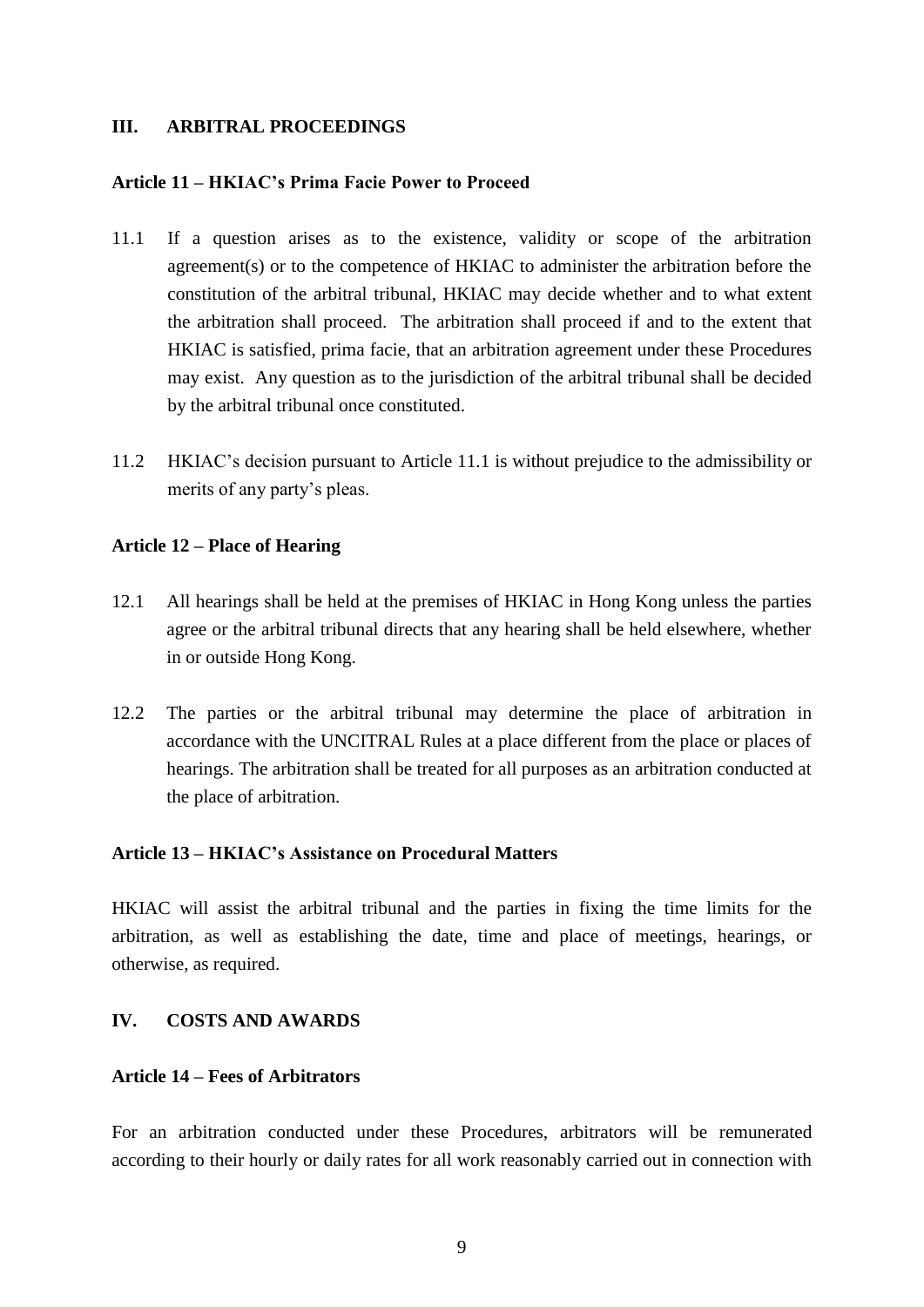#### **III. ARBITRAL PROCEEDINGS**

#### **Article 11 – HKIAC's Prima Facie Power to Proceed**

- 11.1 If a question arises as to the existence, validity or scope of the arbitration agreement(s) or to the competence of HKIAC to administer the arbitration before the constitution of the arbitral tribunal, HKIAC may decide whether and to what extent the arbitration shall proceed. The arbitration shall proceed if and to the extent that HKIAC is satisfied, prima facie, that an arbitration agreement under these Procedures may exist. Any question as to the jurisdiction of the arbitral tribunal shall be decided by the arbitral tribunal once constituted.
- 11.2 HKIAC's decision pursuant to Article 11.1 is without prejudice to the admissibility or merits of any party's pleas.

#### **Article 12 – Place of Hearing**

- 12.1 All hearings shall be held at the premises of HKIAC in Hong Kong unless the parties agree or the arbitral tribunal directs that any hearing shall be held elsewhere, whether in or outside Hong Kong.
- 12.2 The parties or the arbitral tribunal may determine the place of arbitration in accordance with the UNCITRAL Rules at a place different from the place or places of hearings. The arbitration shall be treated for all purposes as an arbitration conducted at the place of arbitration.

# **Article 13 – HKIAC's Assistance on Procedural Matters**

HKIAC will assist the arbitral tribunal and the parties in fixing the time limits for the arbitration, as well as establishing the date, time and place of meetings, hearings, or otherwise, as required.

#### **IV. COSTS AND AWARDS**

#### **Article 14 – Fees of Arbitrators**

For an arbitration conducted under these Procedures, arbitrators will be remunerated according to their hourly or daily rates for all work reasonably carried out in connection with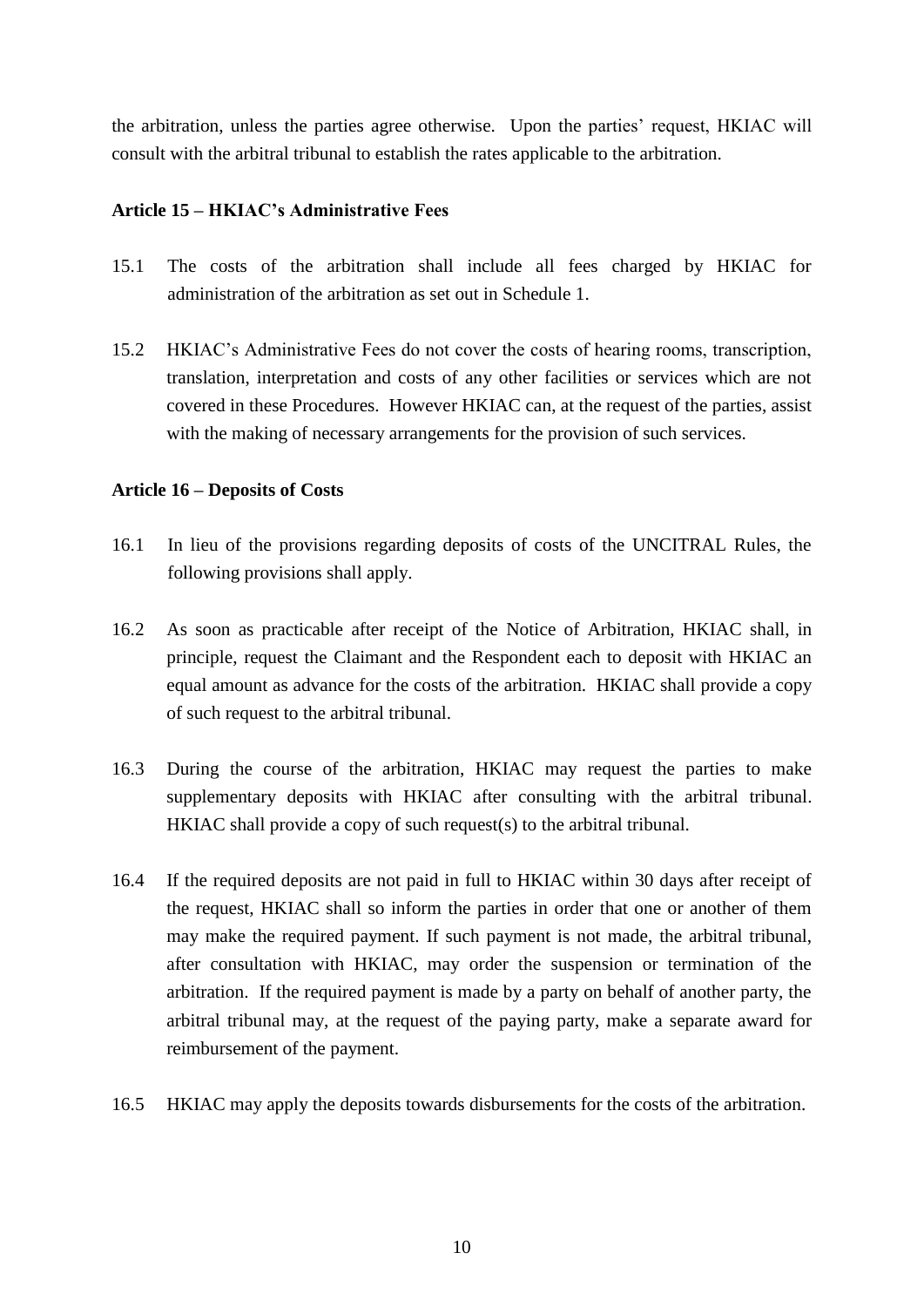the arbitration, unless the parties agree otherwise. Upon the parties' request, HKIAC will consult with the arbitral tribunal to establish the rates applicable to the arbitration.

## **Article 15 – HKIAC's Administrative Fees**

- 15.1 The costs of the arbitration shall include all fees charged by HKIAC for administration of the arbitration as set out in Schedule 1.
- 15.2 HKIAC's Administrative Fees do not cover the costs of hearing rooms, transcription, translation, interpretation and costs of any other facilities or services which are not covered in these Procedures. However HKIAC can, at the request of the parties, assist with the making of necessary arrangements for the provision of such services.

#### **Article 16 – Deposits of Costs**

- 16.1 In lieu of the provisions regarding deposits of costs of the UNCITRAL Rules, the following provisions shall apply.
- 16.2 As soon as practicable after receipt of the Notice of Arbitration, HKIAC shall, in principle, request the Claimant and the Respondent each to deposit with HKIAC an equal amount as advance for the costs of the arbitration. HKIAC shall provide a copy of such request to the arbitral tribunal.
- 16.3 During the course of the arbitration, HKIAC may request the parties to make supplementary deposits with HKIAC after consulting with the arbitral tribunal. HKIAC shall provide a copy of such request(s) to the arbitral tribunal.
- 16.4 If the required deposits are not paid in full to HKIAC within 30 days after receipt of the request, HKIAC shall so inform the parties in order that one or another of them may make the required payment. If such payment is not made, the arbitral tribunal, after consultation with HKIAC, may order the suspension or termination of the arbitration. If the required payment is made by a party on behalf of another party, the arbitral tribunal may, at the request of the paying party, make a separate award for reimbursement of the payment.
- 16.5 HKIAC may apply the deposits towards disbursements for the costs of the arbitration.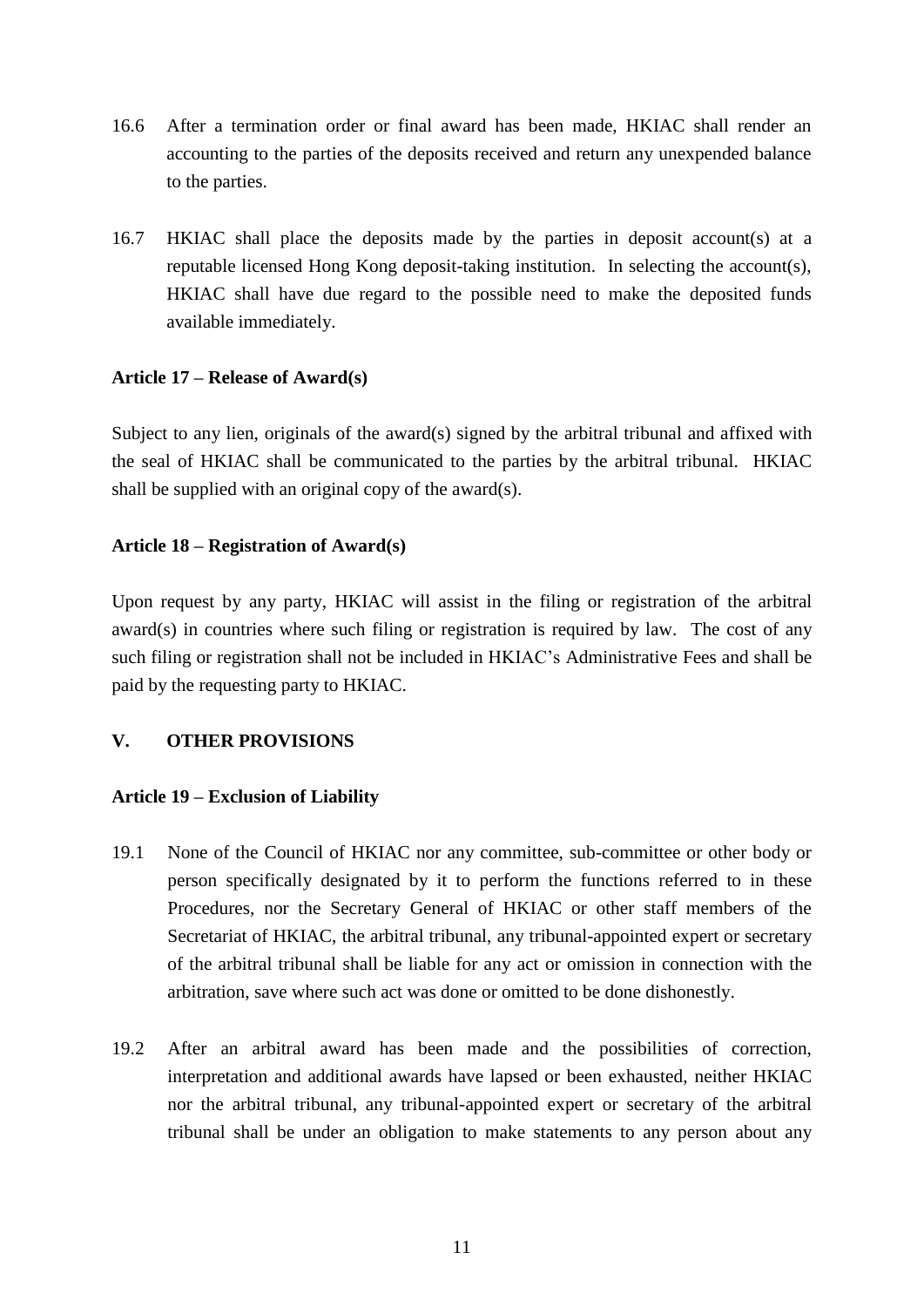- 16.6 After a termination order or final award has been made, HKIAC shall render an accounting to the parties of the deposits received and return any unexpended balance to the parties.
- 16.7 HKIAC shall place the deposits made by the parties in deposit account(s) at a reputable licensed Hong Kong deposit-taking institution. In selecting the account(s), HKIAC shall have due regard to the possible need to make the deposited funds available immediately.

# **Article 17 – Release of Award(s)**

Subject to any lien, originals of the award(s) signed by the arbitral tribunal and affixed with the seal of HKIAC shall be communicated to the parties by the arbitral tribunal. HKIAC shall be supplied with an original copy of the award(s).

#### **Article 18 – Registration of Award(s)**

Upon request by any party, HKIAC will assist in the filing or registration of the arbitral award(s) in countries where such filing or registration is required by law. The cost of any such filing or registration shall not be included in HKIAC's Administrative Fees and shall be paid by the requesting party to HKIAC.

# **V. OTHER PROVISIONS**

#### **Article 19 – Exclusion of Liability**

- 19.1 None of the Council of HKIAC nor any committee, sub-committee or other body or person specifically designated by it to perform the functions referred to in these Procedures, nor the Secretary General of HKIAC or other staff members of the Secretariat of HKIAC, the arbitral tribunal, any tribunal-appointed expert or secretary of the arbitral tribunal shall be liable for any act or omission in connection with the arbitration, save where such act was done or omitted to be done dishonestly.
- 19.2 After an arbitral award has been made and the possibilities of correction, interpretation and additional awards have lapsed or been exhausted, neither HKIAC nor the arbitral tribunal, any tribunal-appointed expert or secretary of the arbitral tribunal shall be under an obligation to make statements to any person about any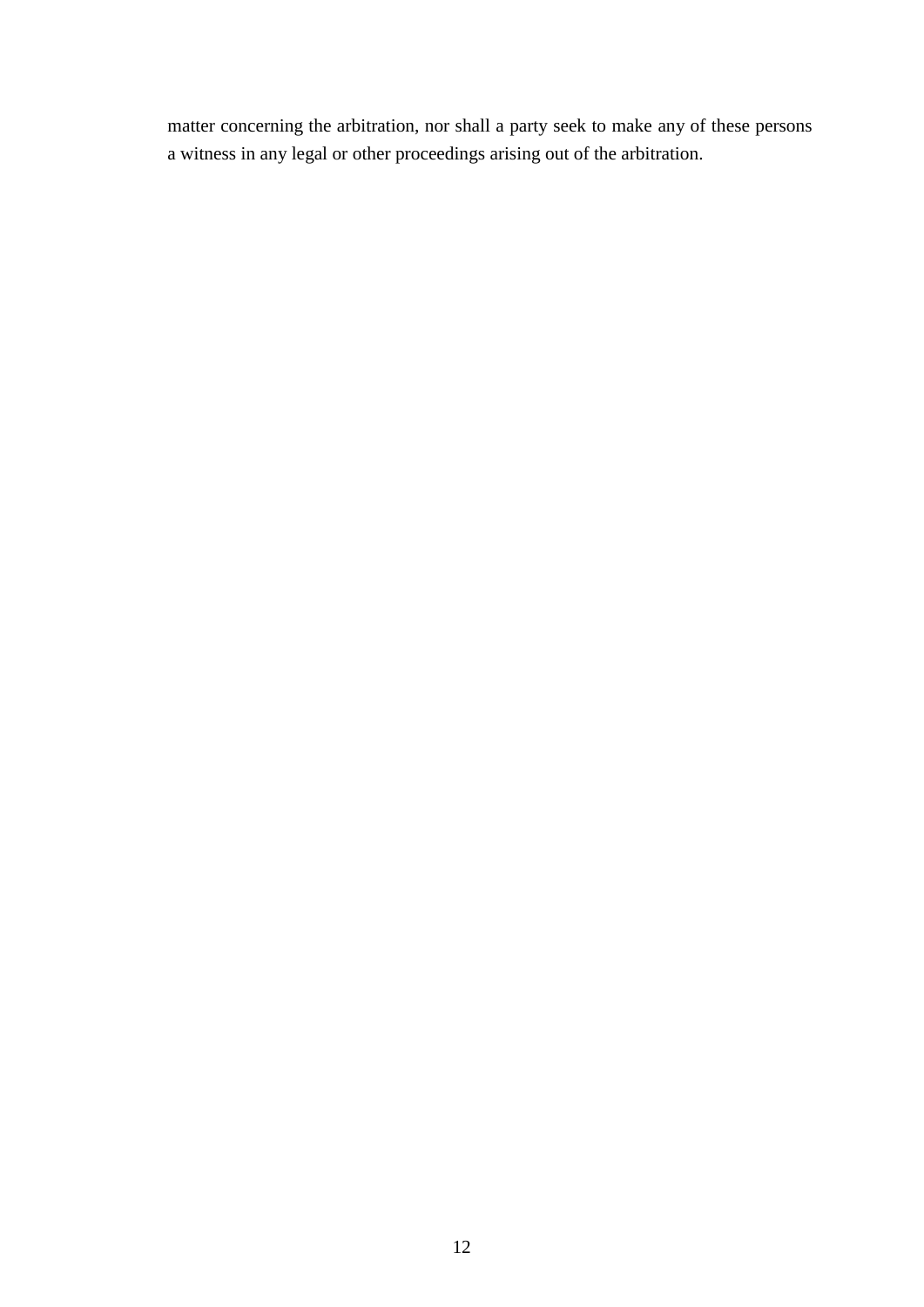matter concerning the arbitration, nor shall a party seek to make any of these persons a witness in any legal or other proceedings arising out of the arbitration.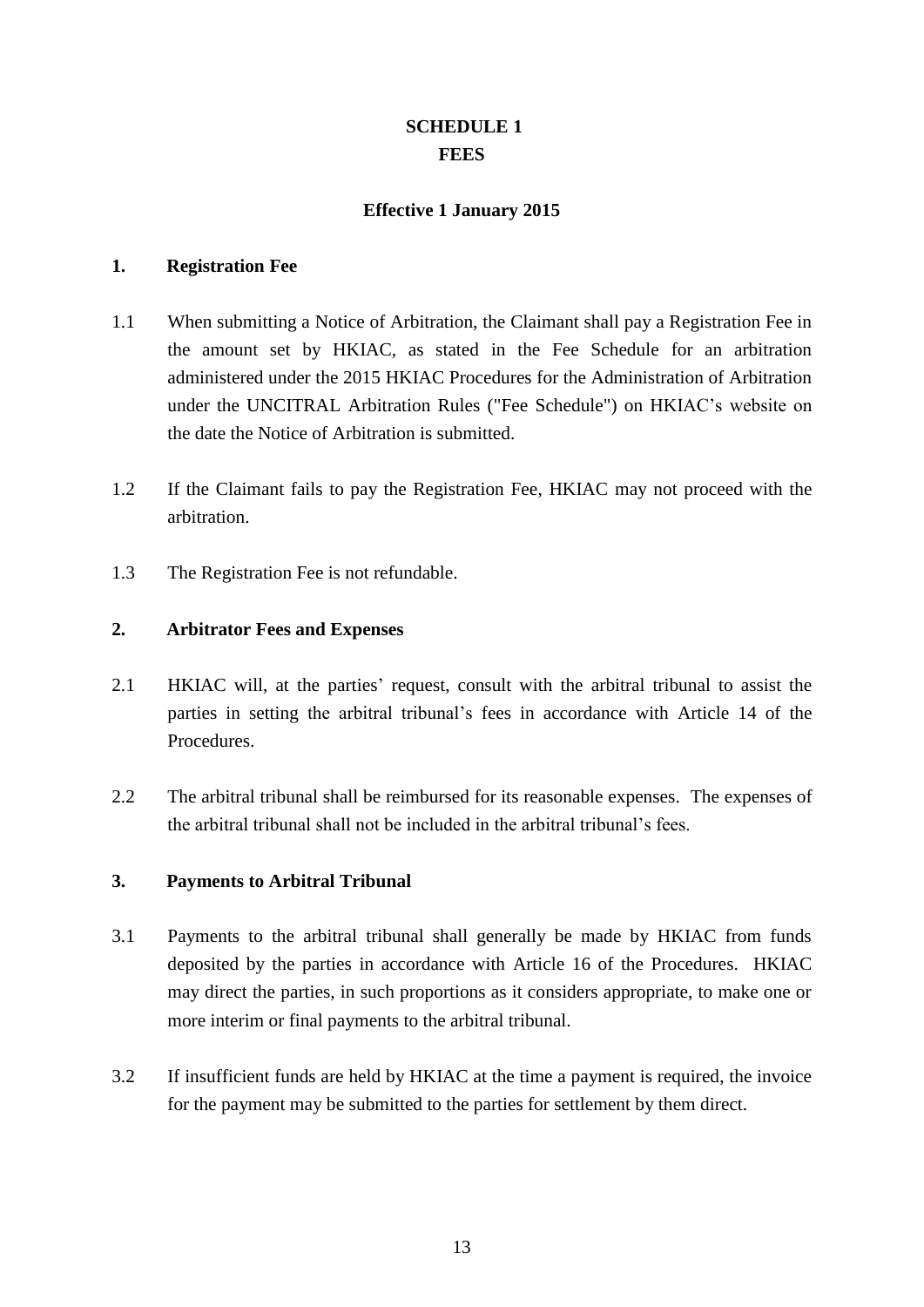# **SCHEDULE 1 FEES**

## **Effective 1 January 2015**

#### **1. Registration Fee**

- 1.1 When submitting a Notice of Arbitration, the Claimant shall pay a Registration Fee in the amount set by HKIAC, as stated in the Fee Schedule for an arbitration administered under the 2015 HKIAC Procedures for the Administration of Arbitration under the UNCITRAL Arbitration Rules ("Fee Schedule") on HKIAC's website on the date the Notice of Arbitration is submitted.
- 1.2 If the Claimant fails to pay the Registration Fee, HKIAC may not proceed with the arbitration.
- 1.3 The Registration Fee is not refundable.

#### **2. Arbitrator Fees and Expenses**

- 2.1 HKIAC will, at the parties' request, consult with the arbitral tribunal to assist the parties in setting the arbitral tribunal's fees in accordance with Article 14 of the Procedures.
- 2.2 The arbitral tribunal shall be reimbursed for its reasonable expenses. The expenses of the arbitral tribunal shall not be included in the arbitral tribunal's fees.

#### **3. Payments to Arbitral Tribunal**

- 3.1 Payments to the arbitral tribunal shall generally be made by HKIAC from funds deposited by the parties in accordance with Article 16 of the Procedures. HKIAC may direct the parties, in such proportions as it considers appropriate, to make one or more interim or final payments to the arbitral tribunal.
- 3.2 If insufficient funds are held by HKIAC at the time a payment is required, the invoice for the payment may be submitted to the parties for settlement by them direct.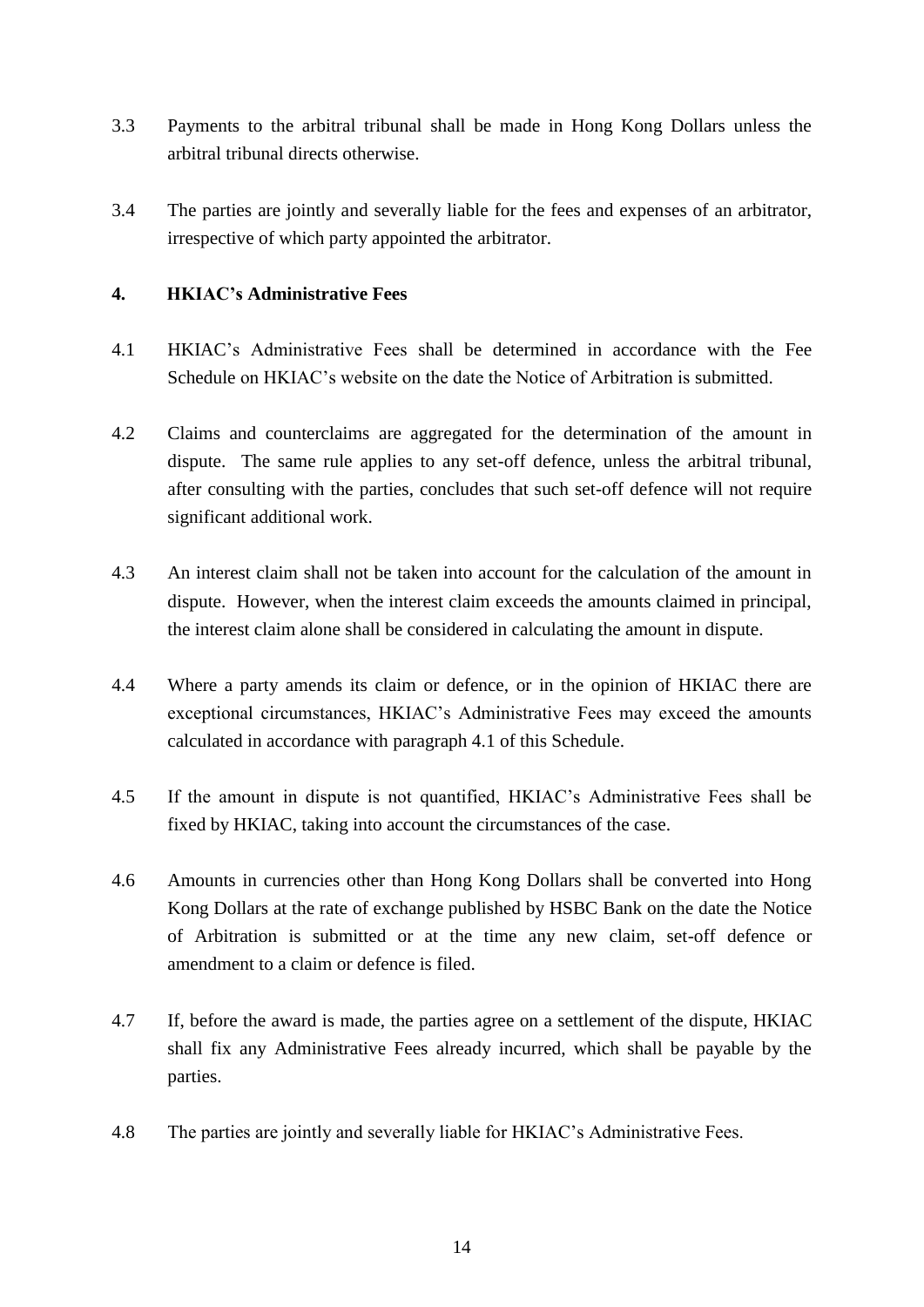- 3.3 Payments to the arbitral tribunal shall be made in Hong Kong Dollars unless the arbitral tribunal directs otherwise.
- 3.4 The parties are jointly and severally liable for the fees and expenses of an arbitrator, irrespective of which party appointed the arbitrator.

## **4. HKIAC's Administrative Fees**

- 4.1 HKIAC's Administrative Fees shall be determined in accordance with the Fee Schedule on HKIAC's website on the date the Notice of Arbitration is submitted.
- 4.2 Claims and counterclaims are aggregated for the determination of the amount in dispute. The same rule applies to any set-off defence, unless the arbitral tribunal, after consulting with the parties, concludes that such set-off defence will not require significant additional work.
- 4.3 An interest claim shall not be taken into account for the calculation of the amount in dispute. However, when the interest claim exceeds the amounts claimed in principal, the interest claim alone shall be considered in calculating the amount in dispute.
- 4.4 Where a party amends its claim or defence, or in the opinion of HKIAC there are exceptional circumstances, HKIAC's Administrative Fees may exceed the amounts calculated in accordance with paragraph 4.1 of this Schedule.
- 4.5 If the amount in dispute is not quantified, HKIAC's Administrative Fees shall be fixed by HKIAC, taking into account the circumstances of the case.
- 4.6 Amounts in currencies other than Hong Kong Dollars shall be converted into Hong Kong Dollars at the rate of exchange published by HSBC Bank on the date the Notice of Arbitration is submitted or at the time any new claim, set-off defence or amendment to a claim or defence is filed.
- 4.7 If, before the award is made, the parties agree on a settlement of the dispute, HKIAC shall fix any Administrative Fees already incurred, which shall be payable by the parties.
- 4.8 The parties are jointly and severally liable for HKIAC's Administrative Fees.